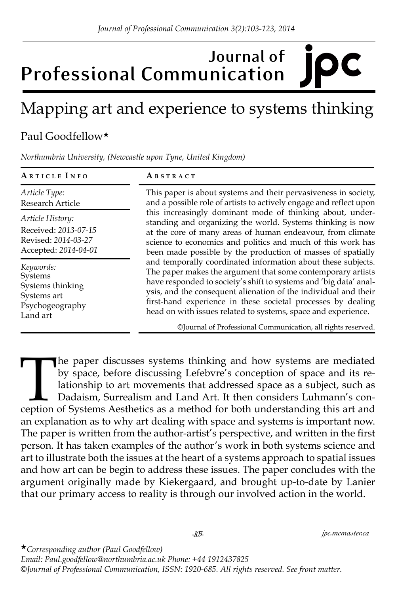## **Journal of Professional Communication**

## Mapping art and experience to systems thinking

## Paul Goodfellow★

*Northumbria University, (Newcastle upon Tyne, United Kingdom)*

| ABSTRACT                                                                                                                                                                                                                                                                                                                                                                                                                                                     |
|--------------------------------------------------------------------------------------------------------------------------------------------------------------------------------------------------------------------------------------------------------------------------------------------------------------------------------------------------------------------------------------------------------------------------------------------------------------|
| This paper is about systems and their pervasiveness in society,<br>and a possible role of artists to actively engage and reflect upon<br>this increasingly dominant mode of thinking about, under-<br>standing and organizing the world. Systems thinking is now<br>at the core of many areas of human endeavour, from climate<br>science to economics and politics and much of this work has<br>been made possible by the production of masses of spatially |
|                                                                                                                                                                                                                                                                                                                                                                                                                                                              |
|                                                                                                                                                                                                                                                                                                                                                                                                                                                              |

The paper discusses systems thinking and how systems are mediated by space, before discussing Lefebvre's conception of space and its relationship to art movements that addressed space as a subject, such as Dadaism, Surreal by space, before discussing Lefebvre's conception of space and its relationship to art movements that addressed space as a subject, such as Dadaism, Surrealism and Land Art. It then considers Luhmann's conception of Systems Aesthetics as a method for both understanding this art and an explanation as to why art dealing with space and systems is important now. The paper is written from the author-artist's perspective, and written in the first person. It has taken examples of the author's work in both systems science and art to illustrate both the issues at the heart of a systems approach to spatial issues and how art can be begin to address these issues. The paper concludes with the argument originally made by Kiekergaard, and brought up-to-date by Lanier that our primary access to reality is through our involved action in the world.

★*Corresponding author (Paul Goodfellow) Email: Paul.goodfellow@northumbria.ac.uk Phone: +44 1912437825 ©Journal of Professional Communication, ISSN: 1920-685. All rights reserved. See front matter.*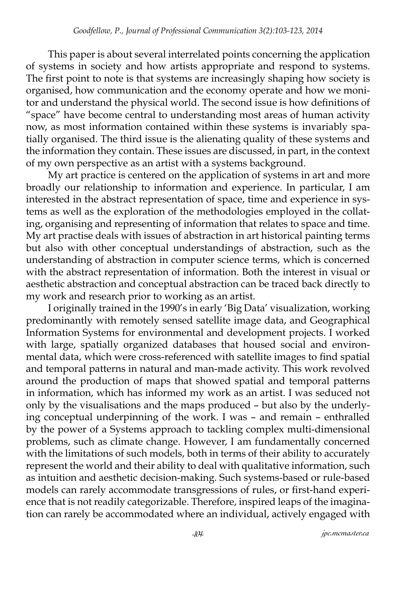This paper is about several interrelated points concerning the application of systems in society and how artists appropriate and respond to systems. The first point to note is that systems are increasingly shaping how society is organised, how communication and the economy operate and how we monitor and understand the physical world. The second issue is how definitions of "space" have become central to understanding most areas of human activity now, as most information contained within these systems is invariably spatially organised. The third issue is the alienating quality of these systems and the information they contain. These issues are discussed, in part, in the context of my own perspective as an artist with a systems background.

My art practice is centered on the application of systems in art and more broadly our relationship to information and experience. In particular, I am interested in the abstract representation of space, time and experience in systems as well as the exploration of the methodologies employed in the collating, organising and representing of information that relates to space and time. My art practise deals with issues of abstraction in art historical painting terms but also with other conceptual understandings of abstraction, such as the understanding of abstraction in computer science terms, which is concerned with the abstract representation of information. Both the interest in visual or aesthetic abstraction and conceptual abstraction can be traced back directly to my work and research prior to working as an artist.

I originally trained in the 1990's in early 'Big Data' visualization, working predominantly with remotely sensed satellite image data, and Geographical Information Systems for environmental and development projects. I worked with large, spatially organized databases that housed social and environmental data, which were cross-referenced with satellite images to find spatial and temporal patterns in natural and man-made activity. This work revolved around the production of maps that showed spatial and temporal patterns in information, which has informed my work as an artist. I was seduced not only by the visualisations and the maps produced – but also by the underlying conceptual underpinning of the work. I was – and remain – enthralled by the power of a Systems approach to tackling complex multi-dimensional problems, such as climate change. However, I am fundamentally concerned with the limitations of such models, both in terms of their ability to accurately represent the world and their ability to deal with qualitative information, such as intuition and aesthetic decision-making. Such systems-based or rule-based models can rarely accommodate transgressions of rules, or first-hand experience that is not readily categorizable. Therefore, inspired leaps of the imagination can rarely be accommodated where an individual, actively engaged with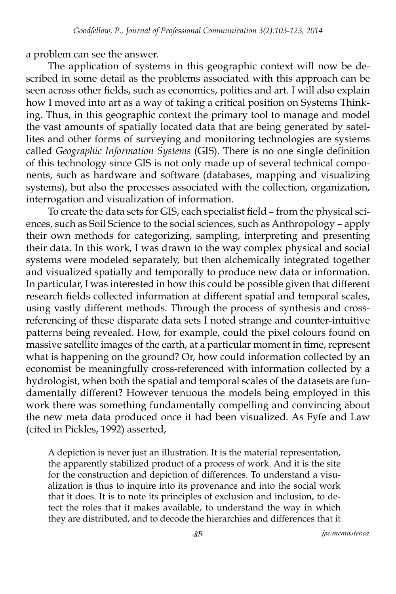a problem can see the answer.

The application of systems in this geographic context will now be described in some detail as the problems associated with this approach can be seen across other fields, such as economics, politics and art. I will also explain how I moved into art as a way of taking a critical position on Systems Thinking. Thus, in this geographic context the primary tool to manage and model the vast amounts of spatially located data that are being generated by satellites and other forms of surveying and monitoring technologies are systems called *Geographic Information Systems* (GIS). There is no one single definition of this technology since GIS is not only made up of several technical components, such as hardware and software (databases, mapping and visualizing systems), but also the processes associated with the collection, organization, interrogation and visualization of information.

To create the data sets for GIS, each specialist field – from the physical sciences, such as Soil Science to the social sciences, such as Anthropology – apply their own methods for categorizing, sampling, interpreting and presenting their data. In this work, I was drawn to the way complex physical and social systems were modeled separately, but then alchemically integrated together and visualized spatially and temporally to produce new data or information. In particular, I was interested in how this could be possible given that different research fields collected information at different spatial and temporal scales, using vastly different methods. Through the process of synthesis and crossreferencing of these disparate data sets I noted strange and counter-intuitive patterns being revealed. How, for example, could the pixel colours found on massive satellite images of the earth, at a particular moment in time, represent what is happening on the ground? Or, how could information collected by an economist be meaningfully cross-referenced with information collected by a hydrologist, when both the spatial and temporal scales of the datasets are fundamentally different? However tenuous the models being employed in this work there was something fundamentally compelling and convincing about the new meta data produced once it had been visualized. As Fyfe and Law (cited in Pickles, 1992) asserted,

A depiction is never just an illustration. It is the material representation, the apparently stabilized product of a process of work. And it is the site for the construction and depiction of differences. To understand a visualization is thus to inquire into its provenance and into the social work that it does. It is to note its principles of exclusion and inclusion, to detect the roles that it makes available, to understand the way in which they are distributed, and to decode the hierarchies and differences that it

*-105- jpc.mcmaster.ca*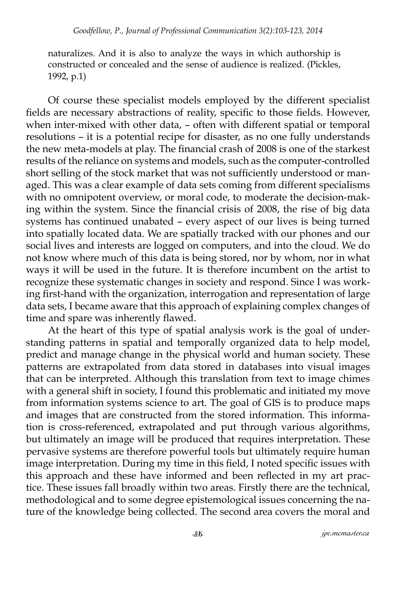naturalizes. And it is also to analyze the ways in which authorship is constructed or concealed and the sense of audience is realized. (Pickles, 1992, p.1)

Of course these specialist models employed by the different specialist fields are necessary abstractions of reality, specific to those fields. However, when inter-mixed with other data, – often with different spatial or temporal resolutions – it is a potential recipe for disaster, as no one fully understands the new meta-models at play. The financial crash of 2008 is one of the starkest results of the reliance on systems and models, such as the computer-controlled short selling of the stock market that was not sufficiently understood or managed. This was a clear example of data sets coming from different specialisms with no omnipotent overview, or moral code, to moderate the decision-making within the system. Since the financial crisis of 2008, the rise of big data systems has continued unabated – every aspect of our lives is being turned into spatially located data. We are spatially tracked with our phones and our social lives and interests are logged on computers, and into the cloud. We do not know where much of this data is being stored, nor by whom, nor in what ways it will be used in the future. It is therefore incumbent on the artist to recognize these systematic changes in society and respond. Since I was working first-hand with the organization, interrogation and representation of large data sets, I became aware that this approach of explaining complex changes of time and spare was inherently flawed.

At the heart of this type of spatial analysis work is the goal of understanding patterns in spatial and temporally organized data to help model, predict and manage change in the physical world and human society. These patterns are extrapolated from data stored in databases into visual images that can be interpreted. Although this translation from text to image chimes with a general shift in society, I found this problematic and initiated my move from information systems science to art. The goal of GIS is to produce maps and images that are constructed from the stored information. This information is cross-referenced, extrapolated and put through various algorithms, but ultimately an image will be produced that requires interpretation. These pervasive systems are therefore powerful tools but ultimately require human image interpretation. During my time in this field, I noted specific issues with this approach and these have informed and been reflected in my art practice. These issues fall broadly within two areas. Firstly there are the technical, methodological and to some degree epistemological issues concerning the nature of the knowledge being collected. The second area covers the moral and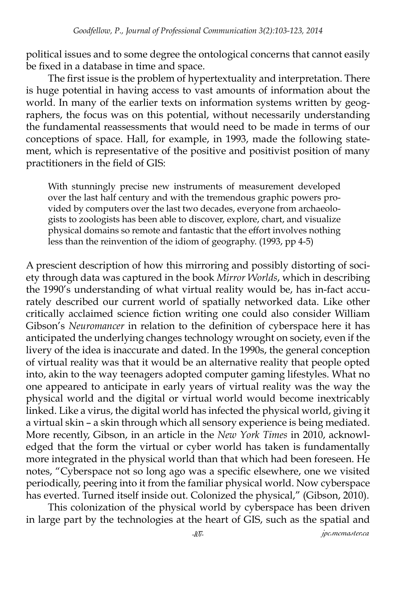political issues and to some degree the ontological concerns that cannot easily be fixed in a database in time and space.

The first issue is the problem of hypertextuality and interpretation. There is huge potential in having access to vast amounts of information about the world. In many of the earlier texts on information systems written by geographers, the focus was on this potential, without necessarily understanding the fundamental reassessments that would need to be made in terms of our conceptions of space. Hall, for example, in 1993, made the following statement, which is representative of the positive and positivist position of many practitioners in the field of GIS:

With stunningly precise new instruments of measurement developed over the last half century and with the tremendous graphic powers provided by computers over the last two decades, everyone from archaeologists to zoologists has been able to discover, explore, chart, and visualize physical domains so remote and fantastic that the effort involves nothing less than the reinvention of the idiom of geography. (1993, pp 4-5)

A prescient description of how this mirroring and possibly distorting of society through data was captured in the book *Mirror Worlds*, which in describing the 1990's understanding of what virtual reality would be, has in-fact accurately described our current world of spatially networked data. Like other critically acclaimed science fiction writing one could also consider William Gibson's *Neuromancer* in relation to the definition of cyberspace here it has anticipated the underlying changes technology wrought on society, even if the livery of the idea is inaccurate and dated. In the 1990s, the general conception of virtual reality was that it would be an alternative reality that people opted into, akin to the way teenagers adopted computer gaming lifestyles. What no one appeared to anticipate in early years of virtual reality was the way the physical world and the digital or virtual world would become inextricably linked. Like a virus, the digital world has infected the physical world, giving it a virtual skin – a skin through which all sensory experience is being mediated. More recently, Gibson, in an article in the *New York Times* in 2010, acknowledged that the form the virtual or cyber world has taken is fundamentally more integrated in the physical world than that which had been foreseen. He notes, "Cyberspace not so long ago was a specific elsewhere, one we visited periodically, peering into it from the familiar physical world. Now cyberspace has everted. Turned itself inside out. Colonized the physical," (Gibson, 2010).

This colonization of the physical world by cyberspace has been driven in large part by the technologies at the heart of GIS, such as the spatial and

*-107- jpc.mcmaster.ca*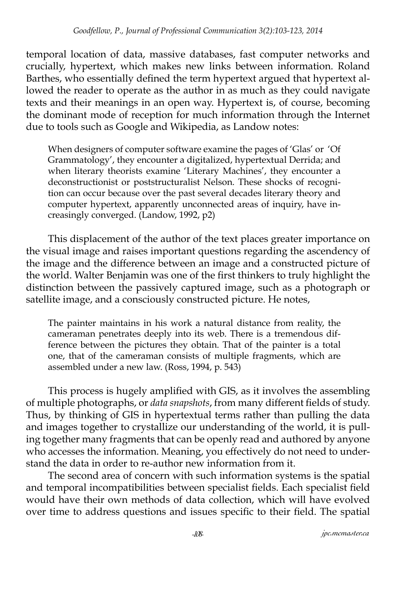temporal location of data, massive databases, fast computer networks and crucially, hypertext, which makes new links between information. Roland Barthes, who essentially defined the term hypertext argued that hypertext allowed the reader to operate as the author in as much as they could navigate texts and their meanings in an open way. Hypertext is, of course, becoming the dominant mode of reception for much information through the Internet due to tools such as Google and Wikipedia, as Landow notes:

When designers of computer software examine the pages of 'Glas' or 'Of Grammatology', they encounter a digitalized, hypertextual Derrida; and when literary theorists examine 'Literary Machines', they encounter a deconstructionist or poststructuralist Nelson. These shocks of recognition can occur because over the past several decades literary theory and computer hypertext, apparently unconnected areas of inquiry, have increasingly converged. (Landow, 1992, p2)

This displacement of the author of the text places greater importance on the visual image and raises important questions regarding the ascendency of the image and the difference between an image and a constructed picture of the world. Walter Benjamin was one of the first thinkers to truly highlight the distinction between the passively captured image, such as a photograph or satellite image, and a consciously constructed picture. He notes,

The painter maintains in his work a natural distance from reality, the cameraman penetrates deeply into its web. There is a tremendous difference between the pictures they obtain. That of the painter is a total one, that of the cameraman consists of multiple fragments, which are assembled under a new law. (Ross, 1994, p. 543)

This process is hugely amplified with GIS, as it involves the assembling of multiple photographs, or *data snapshots*, from many different fields of study. Thus, by thinking of GIS in hypertextual terms rather than pulling the data and images together to crystallize our understanding of the world, it is pulling together many fragments that can be openly read and authored by anyone who accesses the information. Meaning, you effectively do not need to understand the data in order to re-author new information from it.

The second area of concern with such information systems is the spatial and temporal incompatibilities between specialist fields. Each specialist field would have their own methods of data collection, which will have evolved over time to address questions and issues specific to their field. The spatial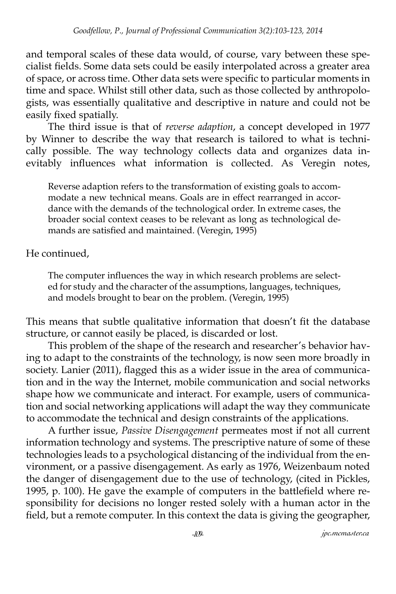and temporal scales of these data would, of course, vary between these specialist fields. Some data sets could be easily interpolated across a greater area of space, or across time. Other data sets were specific to particular moments in time and space. Whilst still other data, such as those collected by anthropologists, was essentially qualitative and descriptive in nature and could not be easily fixed spatially.

The third issue is that of *reverse adaption*, a concept developed in 1977 by Winner to describe the way that research is tailored to what is technically possible. The way technology collects data and organizes data inevitably influences what information is collected. As Veregin notes,

Reverse adaption refers to the transformation of existing goals to accommodate a new technical means. Goals are in effect rearranged in accordance with the demands of the technological order. In extreme cases, the broader social context ceases to be relevant as long as technological demands are satisfied and maintained. (Veregin, 1995)

He continued,

The computer influences the way in which research problems are selected for study and the character of the assumptions, languages, techniques, and models brought to bear on the problem. (Veregin, 1995)

This means that subtle qualitative information that doesn't fit the database structure, or cannot easily be placed, is discarded or lost.

This problem of the shape of the research and researcher's behavior having to adapt to the constraints of the technology, is now seen more broadly in society. Lanier (2011), flagged this as a wider issue in the area of communication and in the way the Internet, mobile communication and social networks shape how we communicate and interact. For example, users of communication and social networking applications will adapt the way they communicate to accommodate the technical and design constraints of the applications.

A further issue, *Passive Disengagement* permeates most if not all current information technology and systems. The prescriptive nature of some of these technologies leads to a psychological distancing of the individual from the environment, or a passive disengagement. As early as 1976, Weizenbaum noted the danger of disengagement due to the use of technology, (cited in Pickles, 1995, p. 100). He gave the example of computers in the battlefield where responsibility for decisions no longer rested solely with a human actor in the field, but a remote computer. In this context the data is giving the geographer,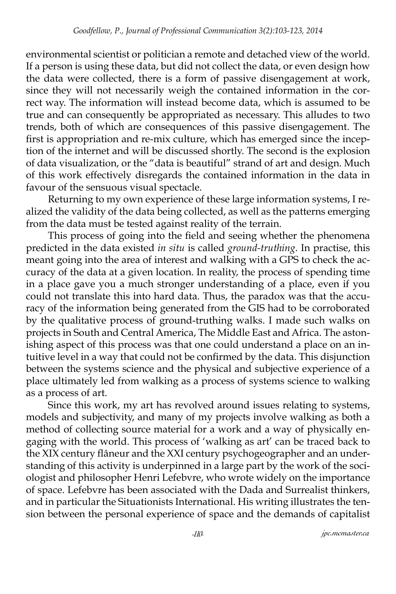environmental scientist or politician a remote and detached view of the world. If a person is using these data, but did not collect the data, or even design how the data were collected, there is a form of passive disengagement at work, since they will not necessarily weigh the contained information in the correct way. The information will instead become data, which is assumed to be true and can consequently be appropriated as necessary. This alludes to two trends, both of which are consequences of this passive disengagement. The first is appropriation and re-mix culture, which has emerged since the inception of the internet and will be discussed shortly. The second is the explosion of data visualization, or the "data is beautiful" strand of art and design. Much of this work effectively disregards the contained information in the data in favour of the sensuous visual spectacle.

Returning to my own experience of these large information systems, I realized the validity of the data being collected, as well as the patterns emerging from the data must be tested against reality of the terrain.

This process of going into the field and seeing whether the phenomena predicted in the data existed *in situ* is called *ground-truthing*. In practise, this meant going into the area of interest and walking with a GPS to check the accuracy of the data at a given location. In reality, the process of spending time in a place gave you a much stronger understanding of a place, even if you could not translate this into hard data. Thus, the paradox was that the accuracy of the information being generated from the GIS had to be corroborated by the qualitative process of ground-truthing walks. I made such walks on projects in South and Central America, The Middle East and Africa. The astonishing aspect of this process was that one could understand a place on an intuitive level in a way that could not be confirmed by the data. This disjunction between the systems science and the physical and subjective experience of a place ultimately led from walking as a process of systems science to walking as a process of art.

Since this work, my art has revolved around issues relating to systems, models and subjectivity, and many of my projects involve walking as both a method of collecting source material for a work and a way of physically engaging with the world. This process of 'walking as art' can be traced back to the XIX century flâneur and the XXI century psychogeographer and an understanding of this activity is underpinned in a large part by the work of the sociologist and philosopher Henri Lefebvre, who wrote widely on the importance of space. Lefebvre has been associated with the Dada and Surrealist thinkers, and in particular the Situationists International. His writing illustrates the tension between the personal experience of space and the demands of capitalist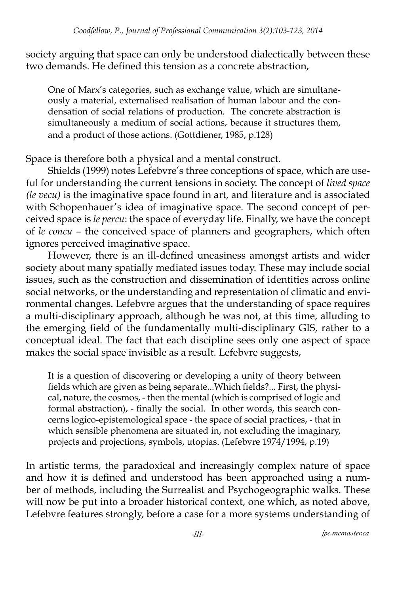society arguing that space can only be understood dialectically between these two demands. He defined this tension as a concrete abstraction,

One of Marx's categories, such as exchange value, which are simultaneously a material, externalised realisation of human labour and the condensation of social relations of production. The concrete abstraction is simultaneously a medium of social actions, because it structures them, and a product of those actions. (Gottdiener, 1985, p.128)

Space is therefore both a physical and a mental construct.

Shields (1999) notes Lefebvre's three conceptions of space, which are useful for understanding the current tensions in society. The concept of *lived space (le vecu)* is the imaginative space found in art, and literature and is associated with Schopenhauer's idea of imaginative space. The second concept of perceived space is *le percu*: the space of everyday life. Finally, we have the concept of *le concu* – the conceived space of planners and geographers, which often ignores perceived imaginative space.

However, there is an ill-defined uneasiness amongst artists and wider society about many spatially mediated issues today. These may include social issues, such as the construction and dissemination of identities across online social networks, or the understanding and representation of climatic and environmental changes. Lefebvre argues that the understanding of space requires a multi-disciplinary approach, although he was not, at this time, alluding to the emerging field of the fundamentally multi-disciplinary GIS, rather to a conceptual ideal. The fact that each discipline sees only one aspect of space makes the social space invisible as a result. Lefebvre suggests,

It is a question of discovering or developing a unity of theory between fields which are given as being separate...Which fields?... First, the physical, nature, the cosmos, - then the mental (which is comprised of logic and formal abstraction), - finally the social. In other words, this search concerns logico-epistemological space - the space of social practices, - that in which sensible phenomena are situated in, not excluding the imaginary, projects and projections, symbols, utopias. (Lefebvre 1974/1994, p.19)

In artistic terms, the paradoxical and increasingly complex nature of space and how it is defined and understood has been approached using a number of methods, including the Surrealist and Psychogeographic walks. These will now be put into a broader historical context, one which, as noted above, Lefebvre features strongly, before a case for a more systems understanding of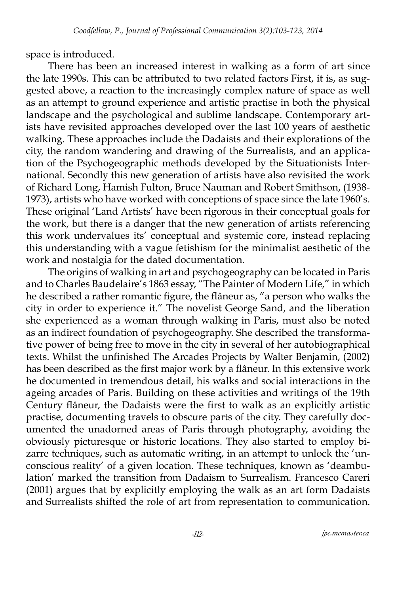space is introduced.

There has been an increased interest in walking as a form of art since the late 1990s. This can be attributed to two related factors First, it is, as suggested above, a reaction to the increasingly complex nature of space as well as an attempt to ground experience and artistic practise in both the physical landscape and the psychological and sublime landscape. Contemporary artists have revisited approaches developed over the last 100 years of aesthetic walking. These approaches include the Dadaists and their explorations of the city, the random wandering and drawing of the Surrealists, and an application of the Psychogeographic methods developed by the Situationists International. Secondly this new generation of artists have also revisited the work of Richard Long, Hamish Fulton, Bruce Nauman and Robert Smithson, (1938- 1973), artists who have worked with conceptions of space since the late 1960's. These original 'Land Artists' have been rigorous in their conceptual goals for the work, but there is a danger that the new generation of artists referencing this work undervalues its' conceptual and systemic core, instead replacing this understanding with a vague fetishism for the minimalist aesthetic of the work and nostalgia for the dated documentation.

The origins of walking in art and psychogeography can be located in Paris and to Charles Baudelaire's 1863 essay, "The Painter of Modern Life," in which he described a rather romantic figure, the flâneur as, "a person who walks the city in order to experience it." The novelist George Sand, and the liberation she experienced as a woman through walking in Paris, must also be noted as an indirect foundation of psychogeography. She described the transformative power of being free to move in the city in several of her autobiographical texts. Whilst the unfinished The Arcades Projects by Walter Benjamin, (2002) has been described as the first major work by a flâneur. In this extensive work he documented in tremendous detail, his walks and social interactions in the ageing arcades of Paris. Building on these activities and writings of the 19th Century flâneur, the Dadaists were the first to walk as an explicitly artistic practise, documenting travels to obscure parts of the city. They carefully documented the unadorned areas of Paris through photography, avoiding the obviously picturesque or historic locations. They also started to employ bizarre techniques, such as automatic writing, in an attempt to unlock the 'unconscious reality' of a given location. These techniques, known as 'deambulation' marked the transition from Dadaism to Surrealism. Francesco Careri (2001) argues that by explicitly employing the walk as an art form Dadaists and Surrealists shifted the role of art from representation to communication.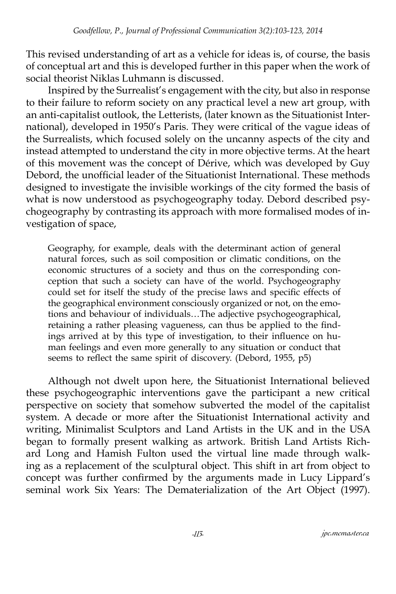This revised understanding of art as a vehicle for ideas is, of course, the basis of conceptual art and this is developed further in this paper when the work of social theorist Niklas Luhmann is discussed.

Inspired by the Surrealist's engagement with the city, but also in response to their failure to reform society on any practical level a new art group, with an anti-capitalist outlook, the Letterists, (later known as the Situationist International), developed in 1950's Paris. They were critical of the vague ideas of the Surrealists, which focused solely on the uncanny aspects of the city and instead attempted to understand the city in more objective terms. At the heart of this movement was the concept of Dérive, which was developed by Guy Debord, the unofficial leader of the Situationist International. These methods designed to investigate the invisible workings of the city formed the basis of what is now understood as psychogeography today. Debord described psychogeography by contrasting its approach with more formalised modes of investigation of space,

Geography, for example, deals with the determinant action of general natural forces, such as soil composition or climatic conditions, on the economic structures of a society and thus on the corresponding conception that such a society can have of the world. Psychogeography could set for itself the study of the precise laws and specific effects of the geographical environment consciously organized or not, on the emotions and behaviour of individuals…The adjective psychogeographical, retaining a rather pleasing vagueness, can thus be applied to the findings arrived at by this type of investigation, to their influence on human feelings and even more generally to any situation or conduct that seems to reflect the same spirit of discovery. (Debord, 1955, p5)

Although not dwelt upon here, the Situationist International believed these psychogeographic interventions gave the participant a new critical perspective on society that somehow subverted the model of the capitalist system. A decade or more after the Situationist International activity and writing, Minimalist Sculptors and Land Artists in the UK and in the USA began to formally present walking as artwork. British Land Artists Richard Long and Hamish Fulton used the virtual line made through walking as a replacement of the sculptural object. This shift in art from object to concept was further confirmed by the arguments made in Lucy Lippard's seminal work Six Years: The Dematerialization of the Art Object (1997).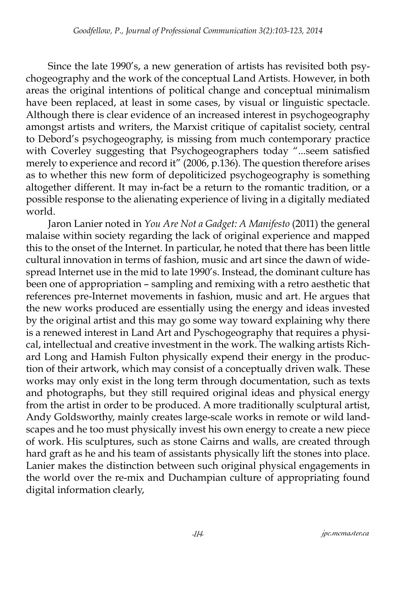Since the late 1990's, a new generation of artists has revisited both psychogeography and the work of the conceptual Land Artists. However, in both areas the original intentions of political change and conceptual minimalism have been replaced, at least in some cases, by visual or linguistic spectacle. Although there is clear evidence of an increased interest in psychogeography amongst artists and writers, the Marxist critique of capitalist society, central to Debord's psychogeography, is missing from much contemporary practice with Coverley suggesting that Psychogeographers today "...seem satisfied merely to experience and record it" (2006, p.136). The question therefore arises as to whether this new form of depoliticized psychogeography is something altogether different. It may in-fact be a return to the romantic tradition, or a possible response to the alienating experience of living in a digitally mediated world.

Jaron Lanier noted in *You Are Not a Gadget: A Manifesto* (2011) the general malaise within society regarding the lack of original experience and mapped this to the onset of the Internet. In particular, he noted that there has been little cultural innovation in terms of fashion, music and art since the dawn of widespread Internet use in the mid to late 1990's. Instead, the dominant culture has been one of appropriation – sampling and remixing with a retro aesthetic that references pre-Internet movements in fashion, music and art. He argues that the new works produced are essentially using the energy and ideas invested by the original artist and this may go some way toward explaining why there is a renewed interest in Land Art and Pyschogeography that requires a physical, intellectual and creative investment in the work. The walking artists Richard Long and Hamish Fulton physically expend their energy in the production of their artwork, which may consist of a conceptually driven walk. These works may only exist in the long term through documentation, such as texts and photographs, but they still required original ideas and physical energy from the artist in order to be produced. A more traditionally sculptural artist, Andy Goldsworthy, mainly creates large-scale works in remote or wild landscapes and he too must physically invest his own energy to create a new piece of work. His sculptures, such as stone Cairns and walls, are created through hard graft as he and his team of assistants physically lift the stones into place. Lanier makes the distinction between such original physical engagements in the world over the re-mix and Duchampian culture of appropriating found digital information clearly,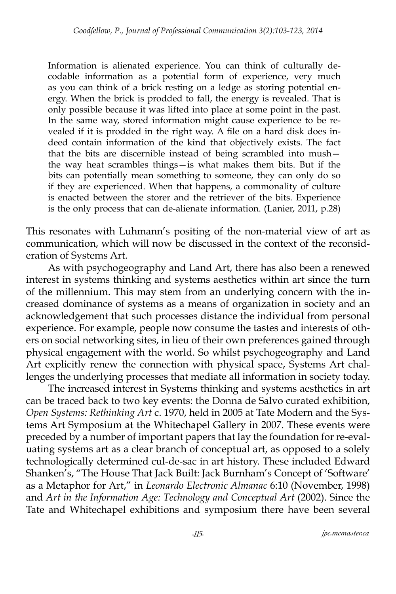Information is alienated experience. You can think of culturally decodable information as a potential form of experience, very much as you can think of a brick resting on a ledge as storing potential energy. When the brick is prodded to fall, the energy is revealed. That is only possible because it was lifted into place at some point in the past. In the same way, stored information might cause experience to be revealed if it is prodded in the right way. A file on a hard disk does indeed contain information of the kind that objectively exists. The fact that the bits are discernible instead of being scrambled into mush the way heat scrambles things—is what makes them bits. But if the bits can potentially mean something to someone, they can only do so if they are experienced. When that happens, a commonality of culture is enacted between the storer and the retriever of the bits. Experience is the only process that can de-alienate information. (Lanier, 2011, p.28)

This resonates with Luhmann's positing of the non-material view of art as communication, which will now be discussed in the context of the reconsideration of Systems Art.

As with psychogeography and Land Art, there has also been a renewed interest in systems thinking and systems aesthetics within art since the turn of the millennium. This may stem from an underlying concern with the increased dominance of systems as a means of organization in society and an acknowledgement that such processes distance the individual from personal experience. For example, people now consume the tastes and interests of others on social networking sites, in lieu of their own preferences gained through physical engagement with the world. So whilst psychogeography and Land Art explicitly renew the connection with physical space, Systems Art challenges the underlying processes that mediate all information in society today.

The increased interest in Systems thinking and systems aesthetics in art can be traced back to two key events: the Donna de Salvo curated exhibition, *Open Systems: Rethinking Art* c. 1970, held in 2005 at Tate Modern and the Systems Art Symposium at the Whitechapel Gallery in 2007. These events were preceded by a number of important papers that lay the foundation for re-evaluating systems art as a clear branch of conceptual art, as opposed to a solely technologically determined cul-de-sac in art history. These included Edward Shanken's, "The House That Jack Built: Jack Burnham's Concept of 'Software' as a Metaphor for Art," in *Leonardo Electronic Almanac* 6:10 (November, 1998) and *Art in the Information Age: Technology and Conceptual Art* (2002). Since the Tate and Whitechapel exhibitions and symposium there have been several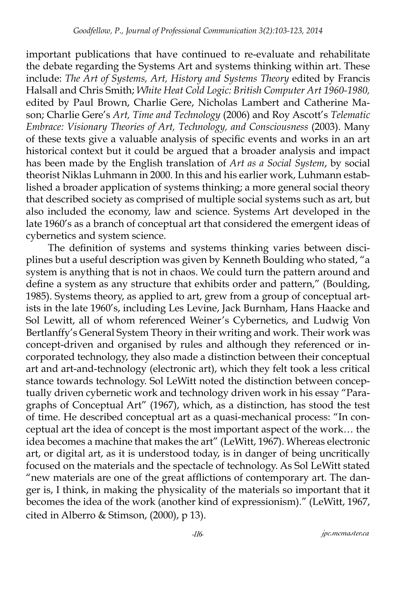important publications that have continued to re-evaluate and rehabilitate the debate regarding the Systems Art and systems thinking within art. These include: *The Art of Systems, Art, History and Systems Theory* edited by Francis Halsall and Chris Smith; *White Heat Cold Logic: British Computer Art 1960-1980,*  edited by Paul Brown, Charlie Gere, Nicholas Lambert and Catherine Mason; Charlie Gere's *Art, Time and Technology* (2006) and Roy Ascott's *Telematic Embrace: Visionary Theories of Art, Technology, and Consciousness* (2003). Many of these texts give a valuable analysis of specific events and works in an art historical context but it could be argued that a broader analysis and impact has been made by the English translation of *Art as a Social System*, by social theorist Niklas Luhmann in 2000. In this and his earlier work, Luhmann established a broader application of systems thinking; a more general social theory that described society as comprised of multiple social systems such as art, but also included the economy, law and science. Systems Art developed in the late 1960's as a branch of conceptual art that considered the emergent ideas of cybernetics and system science.

The definition of systems and systems thinking varies between disciplines but a useful description was given by Kenneth Boulding who stated, "a system is anything that is not in chaos. We could turn the pattern around and define a system as any structure that exhibits order and pattern," (Boulding, 1985). Systems theory, as applied to art, grew from a group of conceptual artists in the late 1960's, including Les Levine, Jack Burnham, Hans Haacke and Sol Lewitt, all of whom referenced Weiner's Cybernetics, and Ludwig Von Bertlanffy's General System Theory in their writing and work. Their work was concept-driven and organised by rules and although they referenced or incorporated technology, they also made a distinction between their conceptual art and art-and-technology (electronic art), which they felt took a less critical stance towards technology. Sol LeWitt noted the distinction between conceptually driven cybernetic work and technology driven work in his essay "Paragraphs of Conceptual Art" (1967), which, as a distinction, has stood the test of time. He described conceptual art as a quasi-mechanical process: "In conceptual art the idea of concept is the most important aspect of the work… the idea becomes a machine that makes the art" (LeWitt, 1967). Whereas electronic art, or digital art, as it is understood today, is in danger of being uncritically focused on the materials and the spectacle of technology. As Sol LeWitt stated "new materials are one of the great afflictions of contemporary art. The danger is, I think, in making the physicality of the materials so important that it becomes the idea of the work (another kind of expressionism)." (LeWitt, 1967, cited in Alberro & Stimson, (2000), p 13).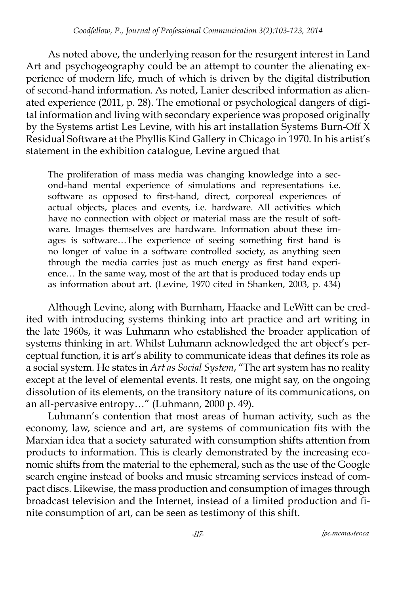As noted above, the underlying reason for the resurgent interest in Land Art and psychogeography could be an attempt to counter the alienating experience of modern life, much of which is driven by the digital distribution of second-hand information. As noted, Lanier described information as alienated experience (2011, p. 28). The emotional or psychological dangers of digital information and living with secondary experience was proposed originally by the Systems artist Les Levine, with his art installation Systems Burn-Off X Residual Software at the Phyllis Kind Gallery in Chicago in 1970. In his artist's statement in the exhibition catalogue, Levine argued that

The proliferation of mass media was changing knowledge into a second-hand mental experience of simulations and representations i.e. software as opposed to first-hand, direct, corporeal experiences of actual objects, places and events, i.e. hardware. All activities which have no connection with object or material mass are the result of software. Images themselves are hardware. Information about these images is software…The experience of seeing something first hand is no longer of value in a software controlled society, as anything seen through the media carries just as much energy as first hand experience... In the same way, most of the art that is produced today ends up as information about art. (Levine, 1970 cited in Shanken, 2003, p. 434)

Although Levine, along with Burnham, Haacke and LeWitt can be credited with introducing systems thinking into art practice and art writing in the late 1960s, it was Luhmann who established the broader application of systems thinking in art. Whilst Luhmann acknowledged the art object's perceptual function, it is art's ability to communicate ideas that defines its role as a social system. He states in *Art as Social System*, "The art system has no reality except at the level of elemental events. It rests, one might say, on the ongoing dissolution of its elements, on the transitory nature of its communications, on an all-pervasive entropy…" (Luhmann, 2000 p. 49).

Luhmann's contention that most areas of human activity, such as the economy, law, science and art, are systems of communication fits with the Marxian idea that a society saturated with consumption shifts attention from products to information. This is clearly demonstrated by the increasing economic shifts from the material to the ephemeral, such as the use of the Google search engine instead of books and music streaming services instead of compact discs. Likewise, the mass production and consumption of images through broadcast television and the Internet, instead of a limited production and finite consumption of art, can be seen as testimony of this shift.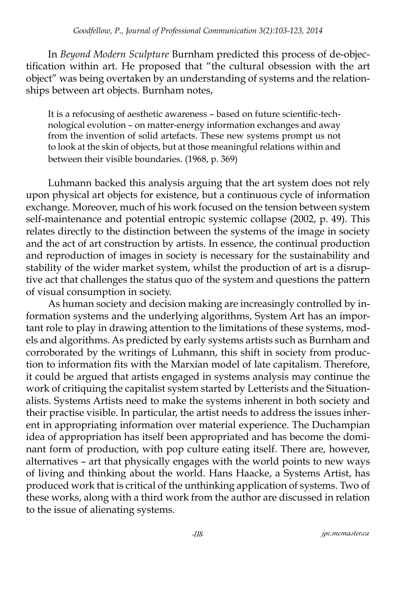In *Beyond Modern Sculpture* Burnham predicted this process of de-objectification within art. He proposed that "the cultural obsession with the art object" was being overtaken by an understanding of systems and the relationships between art objects. Burnham notes,

It is a refocusing of aesthetic awareness – based on future scientific-technological evolution – on matter-energy information exchanges and away from the invention of solid artefacts. These new systems prompt us not to look at the skin of objects, but at those meaningful relations within and between their visible boundaries. (1968, p. 369)

Luhmann backed this analysis arguing that the art system does not rely upon physical art objects for existence, but a continuous cycle of information exchange. Moreover, much of his work focused on the tension between system self-maintenance and potential entropic systemic collapse (2002, p. 49). This relates directly to the distinction between the systems of the image in society and the act of art construction by artists. In essence, the continual production and reproduction of images in society is necessary for the sustainability and stability of the wider market system, whilst the production of art is a disruptive act that challenges the status quo of the system and questions the pattern of visual consumption in society.

As human society and decision making are increasingly controlled by information systems and the underlying algorithms, System Art has an important role to play in drawing attention to the limitations of these systems, models and algorithms. As predicted by early systems artists such as Burnham and corroborated by the writings of Luhmann, this shift in society from production to information fits with the Marxian model of late capitalism. Therefore, it could be argued that artists engaged in systems analysis may continue the work of critiquing the capitalist system started by Letterists and the Situationalists. Systems Artists need to make the systems inherent in both society and their practise visible. In particular, the artist needs to address the issues inherent in appropriating information over material experience. The Duchampian idea of appropriation has itself been appropriated and has become the dominant form of production, with pop culture eating itself. There are, however, alternatives – art that physically engages with the world points to new ways of living and thinking about the world. Hans Haacke, a Systems Artist, has produced work that is critical of the unthinking application of systems. Two of these works, along with a third work from the author are discussed in relation to the issue of alienating systems.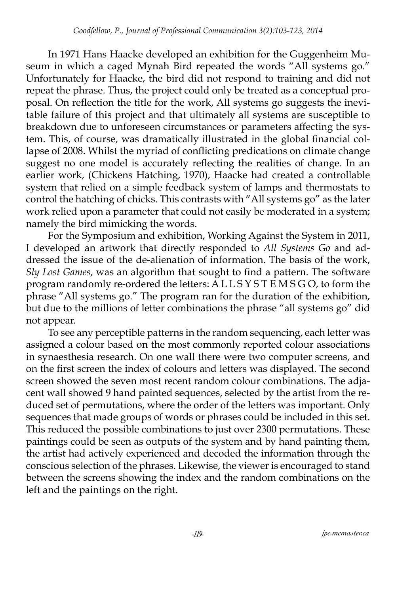In 1971 Hans Haacke developed an exhibition for the Guggenheim Museum in which a caged Mynah Bird repeated the words "All systems go." Unfortunately for Haacke, the bird did not respond to training and did not repeat the phrase. Thus, the project could only be treated as a conceptual proposal. On reflection the title for the work, All systems go suggests the inevitable failure of this project and that ultimately all systems are susceptible to breakdown due to unforeseen circumstances or parameters affecting the system. This, of course, was dramatically illustrated in the global financial collapse of 2008. Whilst the myriad of conflicting predications on climate change suggest no one model is accurately reflecting the realities of change. In an earlier work, (Chickens Hatching, 1970), Haacke had created a controllable system that relied on a simple feedback system of lamps and thermostats to control the hatching of chicks. This contrasts with "All systems go" as the later work relied upon a parameter that could not easily be moderated in a system; namely the bird mimicking the words.

For the Symposium and exhibition, Working Against the System in 2011, I developed an artwork that directly responded to *All Systems Go* and addressed the issue of the de-alienation of information. The basis of the work, *Sly Lost Games*, was an algorithm that sought to find a pattern. The software program randomly re-ordered the letters: A L L S Y S T E M S G O, to form the phrase "All systems go." The program ran for the duration of the exhibition, but due to the millions of letter combinations the phrase "all systems go" did not appear.

To see any perceptible patterns in the random sequencing, each letter was assigned a colour based on the most commonly reported colour associations in synaesthesia research. On one wall there were two computer screens, and on the first screen the index of colours and letters was displayed. The second screen showed the seven most recent random colour combinations. The adjacent wall showed 9 hand painted sequences, selected by the artist from the reduced set of permutations, where the order of the letters was important. Only sequences that made groups of words or phrases could be included in this set. This reduced the possible combinations to just over 2300 permutations. These paintings could be seen as outputs of the system and by hand painting them, the artist had actively experienced and decoded the information through the conscious selection of the phrases. Likewise, the viewer is encouraged to stand between the screens showing the index and the random combinations on the left and the paintings on the right.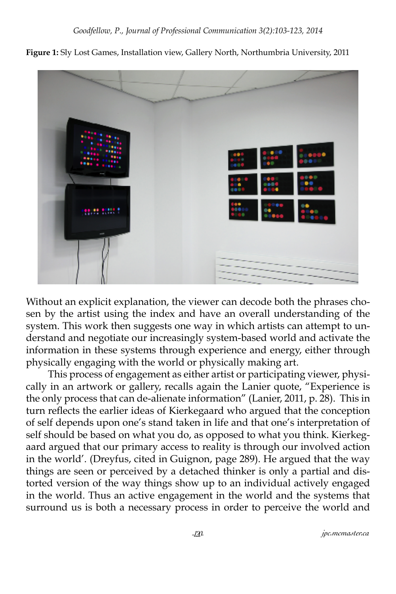**Figure 1:** Sly Lost Games, Installation view, Gallery North, Northumbria University, 2011



Without an explicit explanation, the viewer can decode both the phrases chosen by the artist using the index and have an overall understanding of the system. This work then suggests one way in which artists can attempt to understand and negotiate our increasingly system-based world and activate the information in these systems through experience and energy, either through physically engaging with the world or physically making art.

This process of engagement as either artist or participating viewer, physically in an artwork or gallery, recalls again the Lanier quote, "Experience is the only process that can de-alienate information" (Lanier, 2011, p. 28). This in turn reflects the earlier ideas of Kierkegaard who argued that the conception of self depends upon one's stand taken in life and that one's interpretation of self should be based on what you do, as opposed to what you think. Kierkegaard argued that our primary access to reality is through our involved action in the world'. (Dreyfus, cited in Guignon, page 289). He argued that the way things are seen or perceived by a detached thinker is only a partial and distorted version of the way things show up to an individual actively engaged in the world. Thus an active engagement in the world and the systems that surround us is both a necessary process in order to perceive the world and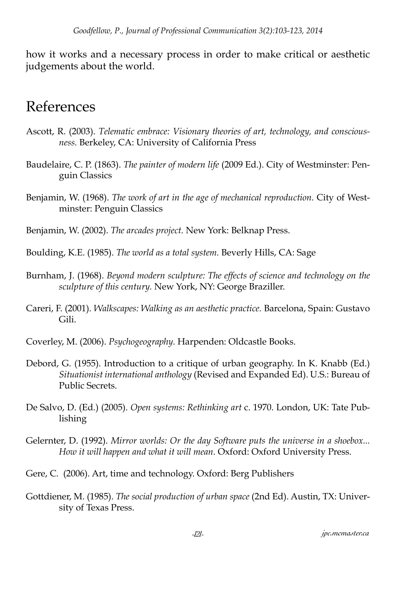how it works and a necessary process in order to make critical or aesthetic judgements about the world.

## References

- Ascott, R. (2003). *Telematic embrace: Visionary theories of art, technology, and consciousness.* Berkeley, CA: University of California Press
- Baudelaire, C. P. (1863). *The painter of modern life* (2009 Ed.). City of Westminster: Penguin Classics
- Benjamin, W. (1968). *The work of art in the age of mechanical reproduction.* City of Westminster: Penguin Classics

Benjamin, W. (2002). *The arcades project.* New York: Belknap Press.

Boulding, K.E. (1985). *The world as a total system.* Beverly Hills, CA: Sage

- Burnham, J. (1968). *Beyond modern sculpture: The effects of science and technology on the sculpture of this century.* New York, NY: George Braziller.
- Careri, F. (2001). *Walkscapes: Walking as an aesthetic practice.* Barcelona, Spain: Gustavo Gili.

Coverley, M. (2006). *Psychogeography.* Harpenden: Oldcastle Books.

- Debord, G. (1955). Introduction to a critique of urban geography. In K. Knabb (Ed.) *Situationist international anthology* (Revised and Expanded Ed). U.S.: Bureau of Public Secrets.
- De Salvo, D. (Ed.) (2005). *Open systems: Rethinking art* c. 1970. London, UK: Tate Publishing
- Gelernter, D. (1992). *Mirror worlds: Or the day Software puts the universe in a shoebox... How it will happen and what it will mean.* Oxford: Oxford University Press.
- Gere, C. (2006). Art, time and technology. Oxford: Berg Publishers
- Gottdiener, M. (1985). *The social production of urban space* (2nd Ed). Austin, TX: University of Texas Press.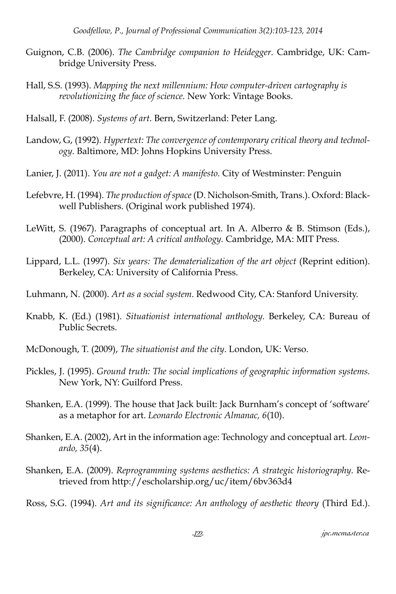- Guignon, C.B. (2006). *The Cambridge companion to Heidegger.* Cambridge, UK: Cambridge University Press.
- Hall, S.S. (1993). *Mapping the next millennium: How computer-driven cartography is revolutionizing the face of science.* New York: Vintage Books.
- Halsall, F. (2008). *Systems of art*. Bern, Switzerland: Peter Lang.
- Landow, G, (1992). *Hypertext: The convergence of contemporary critical theory and technology.* Baltimore, MD: Johns Hopkins University Press.
- Lanier, J. (2011). *You are not a gadget: A manifesto.* City of Westminster: Penguin
- Lefebvre, H. (1994). *The production of space* (D. Nicholson-Smith, Trans.). Oxford: Blackwell Publishers. (Original work published 1974).
- LeWitt, S. (1967). Paragraphs of conceptual art. In A. Alberro & B. Stimson (Eds.), (2000). *Conceptual art: A critical anthology.* Cambridge, MA: MIT Press.
- Lippard, L.L. (1997). *Six years: The dematerialization of the art object* (Reprint edition). Berkeley, CA: University of California Press.
- Luhmann, N. (2000). *Art as a social system*. Redwood City, CA: Stanford University.
- Knabb, K. (Ed.) (1981). *Situationist international anthology.* Berkeley, CA: Bureau of Public Secrets.
- McDonough, T. (2009), *The situationist and the city*. London, UK: Verso.
- Pickles, J. (1995). *Ground truth: The social implications of geographic information systems.* New York, NY: Guilford Press.
- Shanken, E.A. (1999). The house that Jack built: Jack Burnham's concept of 'software' as a metaphor for art. *Leonardo Electronic Almanac, 6*(10).
- Shanken, E.A. (2002), Art in the information age: Technology and conceptual art. *Leonardo, 35*(4).
- Shanken, E.A. (2009). *Reprogramming systems aesthetics: A strategic historiography*. Retrieved from http://escholarship.org/uc/item/6bv363d4

Ross, S.G. (1994). *Art and its significance: An anthology of aesthetic theory* (Third Ed.).